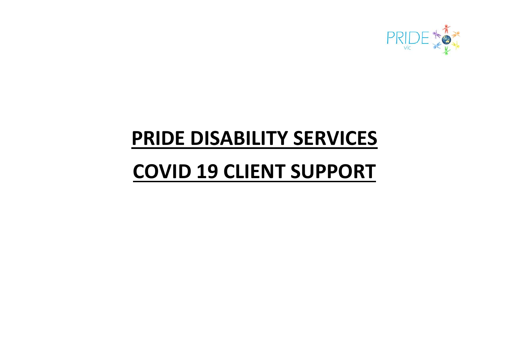

## **PRIDE DISABILITY SERVICES**

# **COVID 19 CLIENT SUPPORT**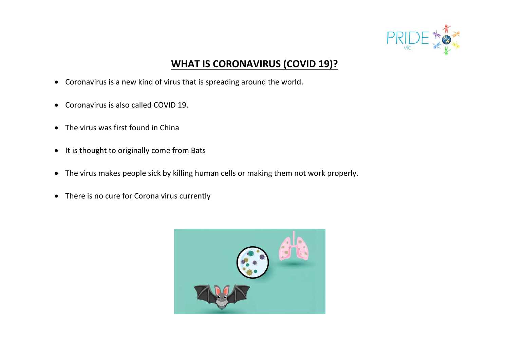

### **WHAT IS CORONAVIRUS (COVID 19)?**

- Coronavirus is a new kind of virus that is spreading around the world.
- Coronavirus is also called COVID 19.
- The virus was first found in China
- It is thought to originally come from Bats
- The virus makes people sick by killing human cells or making them not work properly.
- There is no cure for Corona virus currently

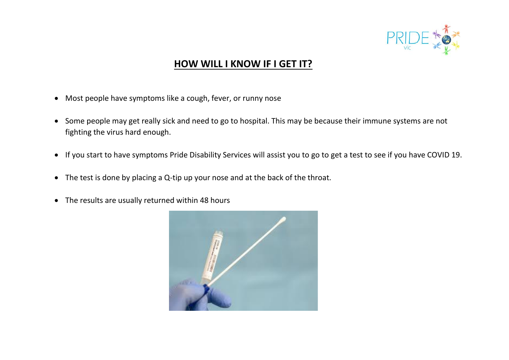

#### **HOW WILL I KNOW IF I GET IT?**

- Most people have symptoms like a cough, fever, or runny nose
- Some people may get really sick and need to go to hospital. This may be because their immune systems are not fighting the virus hard enough.
- If you start to have symptoms Pride Disability Services will assist you to go to get a test to see if you have COVID 19.
- The test is done by placing a Q-tip up your nose and at the back of the throat.
- The results are usually returned within 48 hours

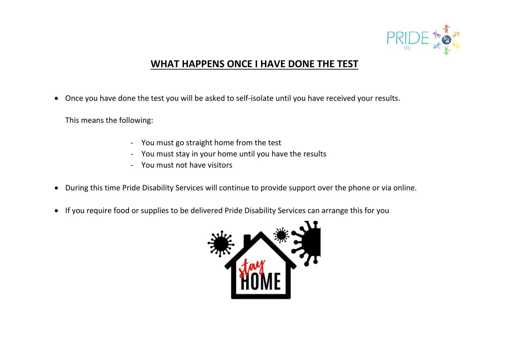

#### **WHAT HAPPENS ONCE I HAVE DONE THE TEST**

• Once you have done the test you will be asked to self-isolate until you have received your results.

This means the following:

- You must go straight home from the test
- You must stay in your home until you have the results
- You must not have visitors
- During this time Pride Disability Services will continue to provide support over the phone or via online.
- If you require food or supplies to be delivered Pride Disability Services can arrange this for you

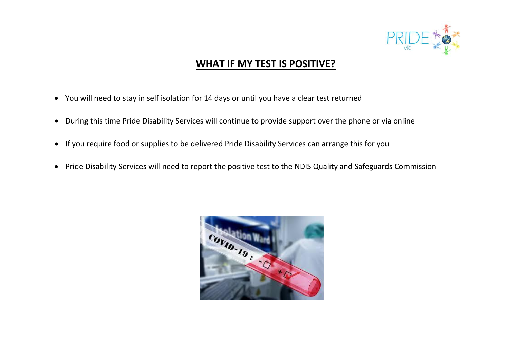

#### **WHAT IF MY TEST IS POSITIVE?**

- You will need to stay in self isolation for 14 days or until you have a clear test returned
- During this time Pride Disability Services will continue to provide support over the phone or via online
- If you require food or supplies to be delivered Pride Disability Services can arrange this for you
- Pride Disability Services will need to report the positive test to the NDIS Quality and Safeguards Commission

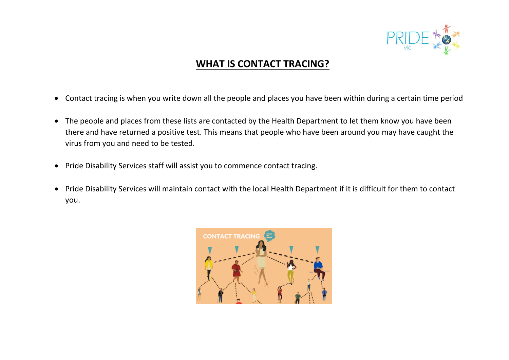

### **WHAT IS CONTACT TRACING?**

- Contact tracing is when you write down all the people and places you have been within during a certain time period
- The people and places from these lists are contacted by the Health Department to let them know you have been there and have returned a positive test. This means that people who have been around you may have caught the virus from you and need to be tested.
- Pride Disability Services staff will assist you to commence contact tracing.
- Pride Disability Services will maintain contact with the local Health Department if it is difficult for them to contact you.